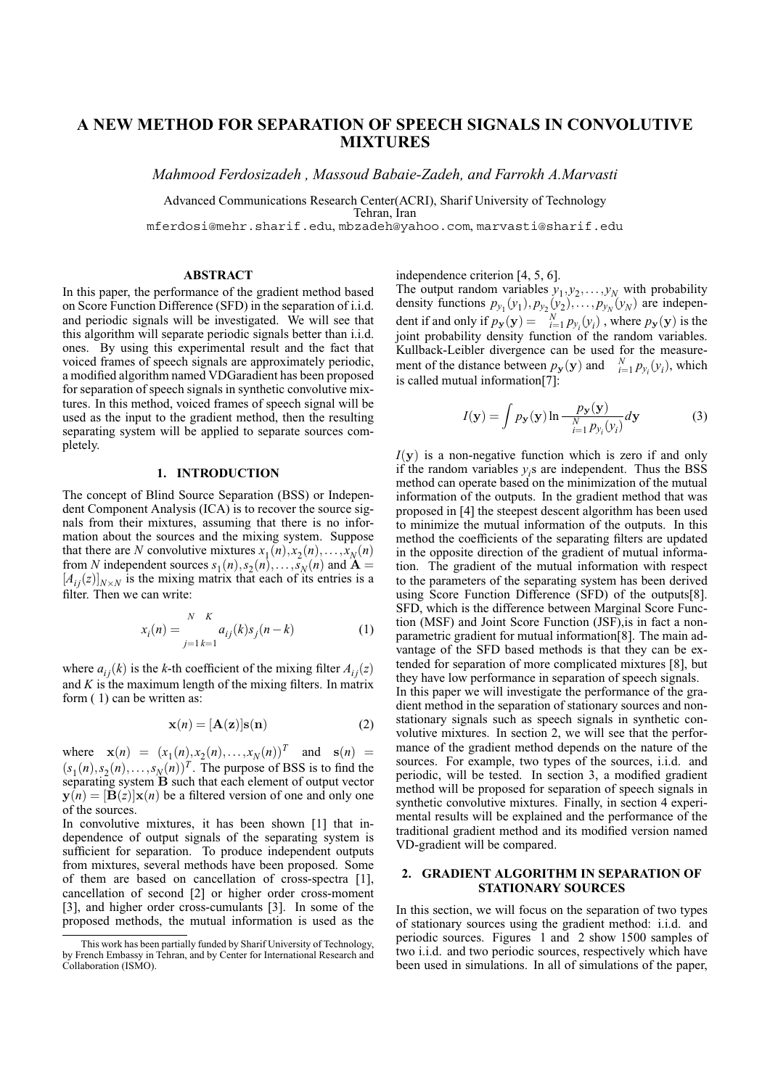# **A NEW METHOD FOR SEPARATION OF SPEECH SIGNALS IN CONVOLUTIVE MIXTURES**

*Mahmood Ferdosizadeh , Massoud Babaie-Zadeh, and Farrokh A.Marvasti*

Advanced Communications Research Center(ACRI), Sharif University of Technology Tehran, Iran mferdosi@mehr.sharif.edu, mbzadeh@yahoo.com, marvasti@sharif.edu

#### **ABSTRACT**

In this paper, the performance of the gradient method based on Score Function Difference (SFD) in the separation of i.i.d. and periodic signals will be investigated. We will see that this algorithm will separate periodic signals better than i.i.d. ones. By using this experimental result and the fact that voiced frames of speech signals are approximately periodic, a modified algorithm named VDGaradient has been proposed for separation of speech signals in synthetic convolutive mixtures. In this method, voiced frames of speech signal will be used as the input to the gradient method, then the resulting separating system will be applied to separate sources completely.

# **1. INTRODUCTION**

The concept of Blind Source Separation (BSS) or Independent Component Analysis (ICA) is to recover the source signals from their mixtures, assuming that there is no information about the sources and the mixing system. Suppose that there are *N* convolutive mixtures  $x_1(n), x_2(n), \ldots, x_N(n)$ from *N* independent sources  $s_1(n), s_2(n), \ldots, s_N(n)$  and  $\mathbf{A} =$  $[A_{ij}(z)]_{N\times N}$  is the mixing matrix that each of its entries is a filter. Then we can write:

$$
x_i(n) = \sum_{j=1}^{N-K} a_{ij}(k)s_j(n-k)
$$
 (1)

where  $a_{ij}(k)$  is the *k*-th coefficient of the mixing filter  $A_{ij}(z)$ and  $K$  is the maximum length of the mixing filters. In matrix form ( 1) can be written as:

$$
\mathbf{x}(n) = [\mathbf{A}(\mathbf{z})] \mathbf{s}(\mathbf{n}) \tag{2}
$$

where  $\mathbf{x}(n) = (x_1(n), x_2(n), \dots, x_N(n))^T$  and  $\mathbf{s}(n) =$  $(s_1(n), s_2(n), \ldots, s_N(n))^T$ . The purpose of BSS is to find the separating system B such that each element of output vector  $y(n) = [B(z)]x(n)$  be a filtered version of one and only one of the sources.

In convolutive mixtures, it has been shown [1] that independence of output signals of the separating system is sufficient for separation. To produce independent outputs from mixtures, several methods have been proposed. Some of them are based on cancellation of cross-spectra [1], cancellation of second [2] or higher order cross-moment [3], and higher order cross-cumulants [3]. In some of the proposed methods, the mutual information is used as the

independence criterion [4, 5, 6].

The output random variables  $y_1, y_2, \ldots, y_N$  with probability density functions  $p_{y_1}(y_1), p_{y_2}(y_2), \ldots, p_{y_N}(y_N)$  are independent if and only if  $p_y(y) = \frac{N}{i} p_{y_i}(y_i)$ , where  $p_y(y)$  is the joint probability density function of the random variables. Kullback-Leibler divergence can be used for the measurement of the distance between  $p_y(y)$  and  $N = p_y(y_i)$ , which is called mutual information[7]:

$$
I(\mathbf{y}) = \int p_{\mathbf{y}}(\mathbf{y}) \ln \frac{p_{\mathbf{y}}(\mathbf{y})}{\sum_{i=1}^{N} p_{y_i}(y_i)} d\mathbf{y}
$$
(3)

 $I(y)$  is a non-negative function which is zero if and only if the random variables  $y_i$ s are independent. Thus the BSS method can operate based on the minimization of the mutual information of the outputs. In the gradient method that was proposed in [4] the steepest descent algorithm has been used to minimize the mutual information of the outputs. In this method the coefficients of the separating filters are updated in the opposite direction of the gradient of mutual information. The gradient of the mutual information with respect to the parameters of the separating system has been derived using Score Function Difference (SFD) of the outputs[8]. SFD, which is the difference between Marginal Score Function (MSF) and Joint Score Function (JSF),is in fact a nonparametric gradient for mutual information[8]. The main advantage of the SFD based methods is that they can be extended for separation of more complicated mixtures [8], but they have low performance in separation of speech signals. In this paper we will investigate the performance of the gradient method in the separation of stationary sources and nonstationary signals such as speech signals in synthetic convolutive mixtures. In section 2, we will see that the performance of the gradient method depends on the nature of the sources. For example, two types of the sources, i.i.d. and periodic, will be tested. In section 3, a modified gradient method will be proposed for separation of speech signals in synthetic convolutive mixtures. Finally, in section 4 experimental results will be explained and the performance of the traditional gradient method and its modified version named VD-gradient will be compared.

# **2. GRADIENT ALGORITHM IN SEPARATION OF STATIONARY SOURCES**

In this section, we will focus on the separation of two types of stationary sources using the gradient method: i.i.d. and periodic sources. Figures 1 and 2 show 1500 samples of two i.i.d. and two periodic sources, respectively which have been used in simulations. In all of simulations of the paper,

This work has been partially funded by Sharif University of Technology, by French Embassy in Tehran, and by Center for International Research and Collaboration (ISMO).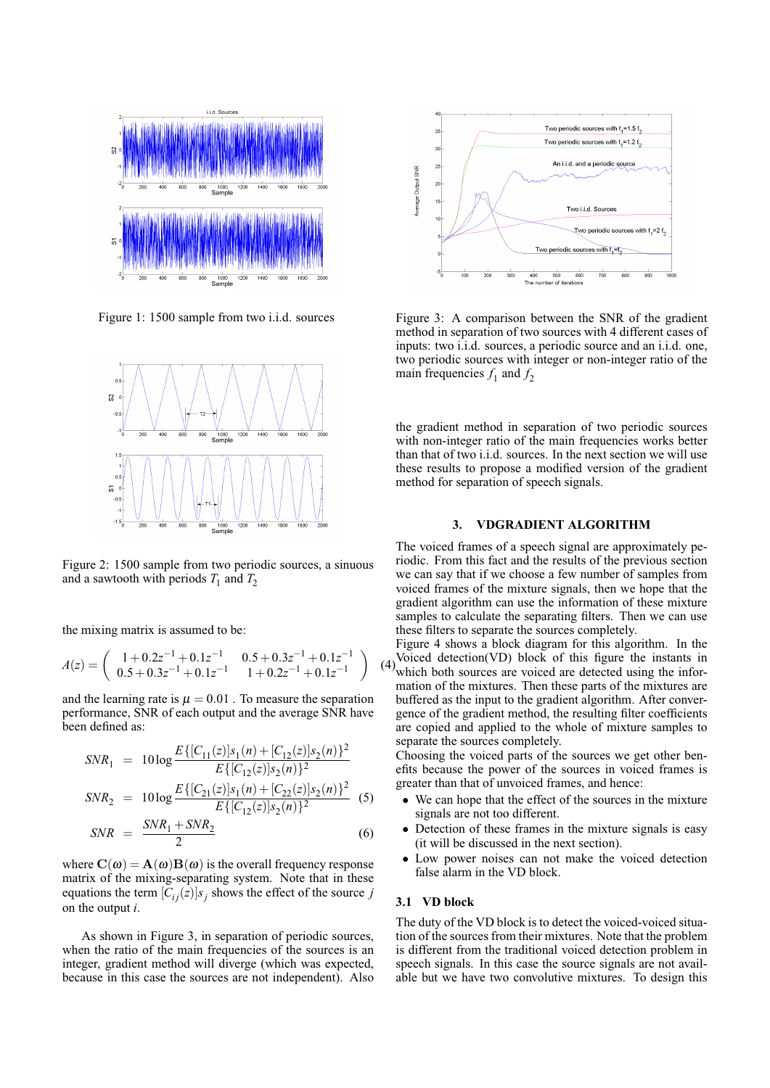

Figure 1: 1500 sample from two i.i.d. sources



Figure 2: 1500 sample from two periodic sources, a sinuous and a sawtooth with periods  $T_1$  and  $T_2$ 

the mixing matrix is assumed to be:

$$
A(z) = \begin{pmatrix} 1+0.2z^{-1}+0.1z^{-1} & 0.5+0.3z^{-1}+0.1z^{-1} \\ 0.5+0.3z^{-1}+0.1z^{-1} & 1+0.2z^{-1}+0.1z^{-1} \end{pmatrix}
$$

and the learning rate is  $\mu = 0.01$ . To measure the separation performance, SNR of each output and the average SNR have been defined as:

$$
SNR_1 = 10 \log \frac{E\{ [C_{11}(z)]s_1(n) + [C_{12}(z)]s_2(n) \}^2}{E\{ [C_{12}(z)]s_2(n) \}^2}
$$
  
\n
$$
SNR_2 = 10 \log \frac{E\{ [C_{21}(z)]s_1(n) + [C_{22}(z)]s_2(n) \}^2}{E\{ [C_{12}(z)]s_2(n) \}^2}
$$
 (5)  
\n
$$
SNR_1 + SNR_2
$$

$$
SNR = \frac{SNR_1 + SNR_2}{2} \tag{6}
$$

where  $\mathbf{C}(\omega) = \mathbf{A}(\omega)\mathbf{B}(\omega)$  is the overall frequency response matrix of the mixing-separating system. Note that in these equations the term  $[C_{ij}(z)]s_j$  shows the effect of the source *j* on the output *i*.

As shown in Figure 3, in separation of periodic sources, when the ratio of the main frequencies of the sources is an integer, gradient method will diverge (which was expected, because in this case the sources are not independent). Also



Figure 3: A comparison between the SNR of the gradient method in separation of two sources with 4 different cases of inputs: two i.i.d. sources, a periodic source and an i.i.d. one, two periodic sources with integer or non-integer ratio of the main frequencies  $f_1$  and  $f_2$ 

the gradient method in separation of two periodic sources with non-integer ratio of the main frequencies works better than that of two i.i.d. sources. In the next section we will use these results to propose a modified version of the gradient method for separation of speech signals.

# **3. VDGRADIENT ALGORITHM**

The voiced frames of a speech signal are approximately periodic. From this fact and the results of the previous section we can say that if we choose a few number of samples from voiced frames of the mixture signals, then we hope that the gradient algorithm can use the information of these mixture samples to calculate the separating filters. Then we can use these filters to separate the sources completely.

(4) which both sources are voiced are detected using the infor-Figure 4 shows a block diagram for this algorithm. In the Voiced detection(VD) block of this figure the instants in mation of the mixtures. Then these parts of the mixtures are buffered as the input to the gradient algorithm. After convergence of the gradient method, the resulting filter coefficients are copied and applied to the whole of mixture samples to separate the sources completely.

Choosing the voiced parts of the sources we get other benefits because the power of the sources in voiced frames is greater than that of unvoiced frames, and hence:

- We can hope that the effect of the sources in the mixture signals are not too different.
- Detection of these frames in the mixture signals is easy (it will be discussed in the next section).
- Low power noises can not make the voiced detection false alarm in the VD block.

# **3.1 VD block**

The duty of the VD block is to detect the voiced-voiced situation of the sources from their mixtures. Note that the problem is different from the traditional voiced detection problem in speech signals. In this case the source signals are not available but we have two convolutive mixtures. To design this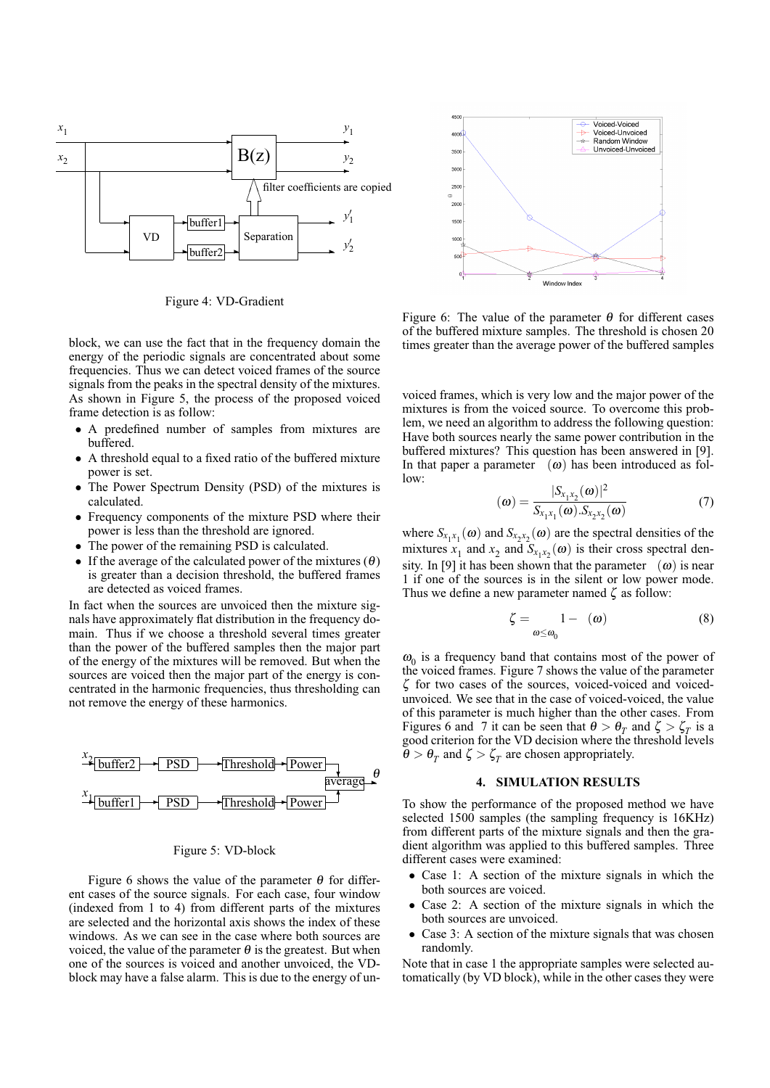

Figure 4: VD-Gradient

block, we can use the fact that in the frequency domain the energy of the periodic signals are concentrated about some frequencies. Thus we can detect voiced frames of the source signals from the peaks in the spectral density of the mixtures. As shown in Figure 5, the process of the proposed voiced frame detection is as follow:

- A predefined number of samples from mixtures are buffered.
- A threshold equal to a fixed ratio of the buffered mixture power is set.
- The Power Spectrum Density (PSD) of the mixtures is calculated.
- Frequency components of the mixture PSD where their power is less than the threshold are ignored.
- The power of the remaining PSD is calculated.
- If the average of the calculated power of the mixtures  $(\theta)$ is greater than a decision threshold, the buffered frames are detected as voiced frames.

In fact when the sources are unvoiced then the mixture signals have approximately flat distribution in the frequency domain. Thus if we choose a threshold several times greater than the power of the buffered samples then the major part of the energy of the mixtures will be removed. But when the sources are voiced then the major part of the energy is concentrated in the harmonic frequencies, thus thresholding can not remove the energy of these harmonics.



### Figure 5: VD-block

Figure 6 shows the value of the parameter  $\theta$  for different cases of the source signals. For each case, four window (indexed from 1 to 4) from different parts of the mixtures are selected and the horizontal axis shows the index of these windows. As we can see in the case where both sources are voiced, the value of the parameter  $\theta$  is the greatest. But when one of the sources is voiced and another unvoiced, the VDblock may have a false alarm. This is due to the energy of un-



Figure 6: The value of the parameter  $\theta$  for different cases of the buffered mixture samples. The threshold is chosen 20 times greater than the average power of the buffered samples

voiced frames, which is very low and the major power of the mixtures is from the voiced source. To overcome this problem, we need an algorithm to address the following question: Have both sources nearly the same power contribution in the buffered mixtures? This question has been answered in [9]. In that paper a parameter  $(\omega)$  has been introduced as fol $low$ 

$$
(\boldsymbol{\omega}) = \frac{|S_{x_1 x_2}(\boldsymbol{\omega})|^2}{S_{x_1 x_1}(\boldsymbol{\omega}).S_{x_2 x_2}(\boldsymbol{\omega})}
$$
(7)

where  $S_{x_1x_1}(\omega)$  and  $S_{x_2x_2}(\omega)$  are the spectral densities of the mixtures  $x_1$  and  $x_2$  and  $S_{x_1x_2}(\omega)$  is their cross spectral density. In [9] it has been shown that the parameter  $(\omega)$  is near 1 if one of the sources is in the silent or low power mode. Thus we define a new parameter named  $\zeta$  as follow:

$$
\zeta = \underset{\omega \le \omega_0}{1 - (\omega)} \tag{8}
$$

 $\omega_0$  is a frequency band that contains most of the power of the voiced frames. Figure 7 shows the value of the parameter ζ for two cases of the sources, voiced-voiced and voicedunvoiced. We see that in the case of voiced-voiced, the value of this parameter is much higher than the other cases. From Figures 6 and 7 it can be seen that  $\theta > \theta_T$  and  $\zeta > \zeta_T$  is a good criterion for the VD decision where the threshold levels  $\ddot{\theta} > \theta_T$  and  $\zeta > \zeta_T$  are chosen appropriately.

#### **4. SIMULATION RESULTS**

To show the performance of the proposed method we have selected 1500 samples (the sampling frequency is 16KHz) from different parts of the mixture signals and then the gradient algorithm was applied to this buffered samples. Three different cases were examined:

- Case 1: A section of the mixture signals in which the both sources are voiced.
- Case 2: A section of the mixture signals in which the both sources are unvoiced.
- Case 3: A section of the mixture signals that was chosen randomly.

Note that in case 1 the appropriate samples were selected automatically (by VD block), while in the other cases they were